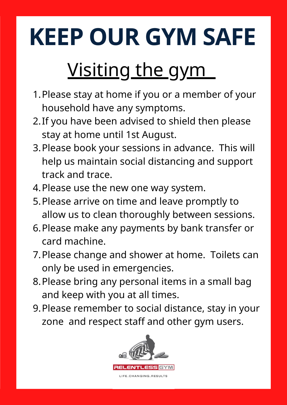- 1. Please stay at home if you or a member of your household have any symptoms.
- 2. If you have been advised to shield then please stay at home until 1st August.
- 3. Please book your sessions in advance. This will help us maintain social distancing and support track and trace.
- 4. Please use the new one way system.
- 5. Please arrive on time and leave promptly to allow us to clean thoroughly between sessions.
- 6. Please make any payments by bank transfer or card machine.
- 7. Please change and shower at home. Toilets can only be used in emergencies.
- 8. Please bring any personal items in a small bag and keep with you at all times.
- Please remember to social distance, stay in your 9. zone and respect staff and other gym users.



LIFE.CHANGING.RESULTS

# **KEEP OUR GYM SAFE** Visiting the gym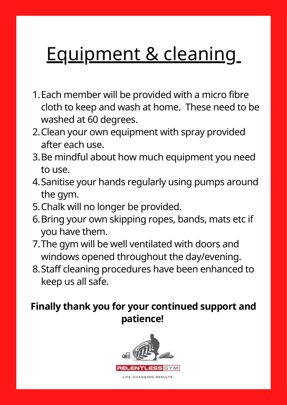## Equipment & cleaning

- 1. Each member will be provided with a micro fibre cloth to keep and wash at home. These need to be washed at 60 degrees.
- 2. Clean your own equipment with spray provided after each use.
- Be mindful about how much equipment you need 3. to use.
- 4. Sanitise your hands regularly using pumps around the gym.
- 5. Chalk will no longer be provided.
- 6. Bring your own skipping ropes, bands, mats etc if you have them.
- The gym will be well ventilated with doors and 7. windows opened throughout the day/evening. Staff cleaning procedures have been enhanced to 8. keep us all safe.

### **Finally thank you for your continued support and patience!**



LIFE.CHANGING.RESULTS